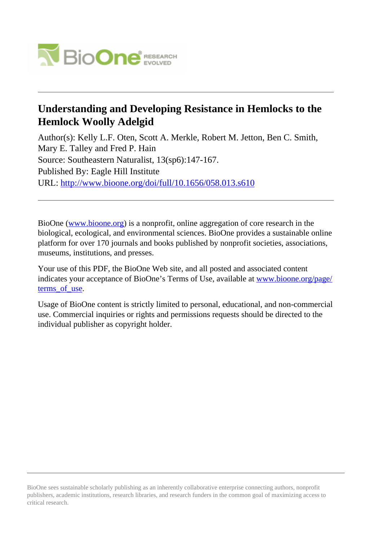

# **Understanding and Developing Resistance in Hemlocks to the Hemlock Woolly Adelgid**

Author(s): Kelly L.F. Oten, Scott A. Merkle, Robert M. Jetton, Ben C. Smith, Mary E. Talley and Fred P. Hain Source: Southeastern Naturalist, 13(sp6):147-167. Published By: Eagle Hill Institute URL: <http://www.bioone.org/doi/full/10.1656/058.013.s610>

BioOne [\(www.bioone.org\)](http://www.bioone.org) is a nonprofit, online aggregation of core research in the biological, ecological, and environmental sciences. BioOne provides a sustainable online platform for over 170 journals and books published by nonprofit societies, associations, museums, institutions, and presses.

Your use of this PDF, the BioOne Web site, and all posted and associated content indicates your acceptance of BioOne's Terms of Use, available at [www.bioone.org/page/](http://www.bioone.org/page/terms_of_use) terms of use.

Usage of BioOne content is strictly limited to personal, educational, and non-commercial use. Commercial inquiries or rights and permissions requests should be directed to the individual publisher as copyright holder.

BioOne sees sustainable scholarly publishing as an inherently collaborative enterprise connecting authors, nonprofit publishers, academic institutions, research libraries, and research funders in the common goal of maximizing access to critical research.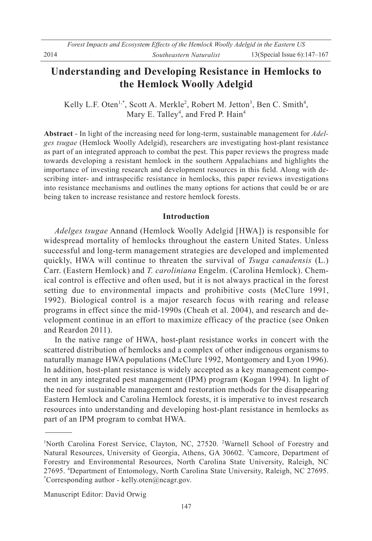## **Understanding and Developing Resistance in Hemlocks to the Hemlock Woolly Adelgid**

Kelly L.F. Oten<sup>1,\*</sup>, Scott A. Merkle<sup>2</sup>, Robert M. Jetton<sup>3</sup>, Ben C. Smith<sup>4</sup>, Mary E. Talley<sup>4</sup>, and Fred P. Hain<sup>4</sup>

**Abstract** - In light of the increasing need for long-term, sustainable management for *Adelges tsugae* (Hemlock Woolly Adelgid), researchers are investigating host-plant resistance as part of an integrated approach to combat the pest. This paper reviews the progress made towards developing a resistant hemlock in the southern Appalachians and highlights the importance of investing research and development resources in this field. Along with describing inter- and intraspecific resistance in hemlocks, this paper reviews investigations into resistance mechanisms and outlines the many options for actions that could be or are being taken to increase resistance and restore hemlock forests.

### **Introduction**

*Adelges tsugae* Annand (Hemlock Woolly Adelgid [HWA]) is responsible for widespread mortality of hemlocks throughout the eastern United States. Unless successful and long-term management strategies are developed and implemented quickly, HWA will continue to threaten the survival of *Tsuga canadensis* (L.) Carr. (Eastern Hemlock) and *T. caroliniana* Engelm. (Carolina Hemlock). Chemical control is effective and often used, but it is not always practical in the forest setting due to environmental impacts and prohibitive costs (McClure 1991, 1992). Biological control is a major research focus with rearing and release programs in effect since the mid-1990s (Cheah et al. 2004), and research and development continue in an effort to maximize efficacy of the practice (see Onken and Reardon 2011).

 In the native range of HWA, host-plant resistance works in concert with the scattered distribution of hemlocks and a complex of other indigenous organisms to naturally manage HWA populations (McClure 1992, Montgomery and Lyon 1996). In addition, host-plant resistance is widely accepted as a key management component in any integrated pest management (IPM) program (Kogan 1994). In light of the need for sustainable management and restoration methods for the disappearing Eastern Hemlock and Carolina Hemlock forests, it is imperative to invest research resources into understanding and developing host-plant resistance in hemlocks as part of an IPM program to combat HWA.

Manuscript Editor: David Orwig

<sup>&</sup>lt;sup>1</sup>North Carolina Forest Service, Clayton, NC, 27520. <sup>2</sup>Warnell School of Forestry and Natural Resources, University of Georgia, Athens, GA 30602. <sup>3</sup>Camcore, Department of Forestry and Environmental Resources, North Carolina State University, Raleigh, NC 27695. <sup>4</sup>Department of Entomology, North Carolina State University, Raleigh, NC 27695. Corresponding author - kelly.oten@ncagr.gov.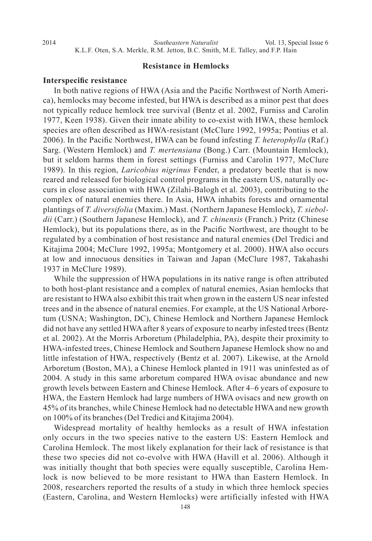#### **Resistance in Hemlocks**

#### **Interspeci¿c resistance**

In both native regions of HWA (Asia and the Pacific Northwest of North America), hemlocks may become infested, but HWA is described as a minor pest that does not typically reduce hemlock tree survival (Bentz et al. 2002, Furniss and Carolin 1977, Keen 1938). Given their innate ability to co-exist with HWA, these hemlock species are often described as HWA-resistant (McClure 1992, 1995a; Pontius et al. 2006). In the Pacific Northwest, HWA can be found infesting *T. heterophylla* (Raf.) Sarg. (Western Hemlock) and *T. mertensiana* (Bong.) Carr. (Mountain Hemlock), but it seldom harms them in forest settings (Furniss and Carolin 1977, McClure 1989). In this region, *Laricobius nigrinus* Fender, a predatory beetle that is now reared and released for biological control programs in the eastern US, naturally occurs in close association with HWA (Zilahi-Balogh et al. 2003), contributing to the complex of natural enemies there. In Asia, HWA inhabits forests and ornamental plantings of *T. diversifolia* (Maxim.) Mast. (Northern Japanese Hemlock), *T. sieboldii* (Carr.) (Southern Japanese Hemlock), and *T. chinensis* (Franch.) Pritz (Chinese Hemlock), but its populations there, as in the Pacific Northwest, are thought to be regulated by a combination of host resistance and natural enemies (Del Tredici and Kitajima 2004; McClure 1992, 1995a; Montgomery et al. 2000). HWA also occurs at low and innocuous densities in Taiwan and Japan (McClure 1987, Takahashi 1937 in McClure 1989).

 While the suppression of HWA populations in its native range is often attributed to both host-plant resistance and a complex of natural enemies, Asian hemlocks that are resistant to HWA also exhibit this trait when grown in the eastern US near infested trees and in the absence of natural enemies. For example, at the US National Arboretum (USNA; Washington, DC), Chinese Hemlock and Northern Japanese Hemlock did not have any settled HWA after 8 years of exposure to nearby infested trees (Bentz et al. 2002). At the Morris Arboretum (Philadelphia, PA), despite their proximity to HWA-infested trees, Chinese Hemlock and Southern Japanese Hemlock show no and little infestation of HWA, respectively (Bentz et al. 2007). Likewise, at the Arnold Arboretum (Boston, MA), a Chinese Hemlock planted in 1911 was uninfested as of 2004. A study in this same arboretum compared HWA ovisac abundance and new growth levels between Eastern and Chinese Hemlock. After 4–6 years of exposure to HWA, the Eastern Hemlock had large numbers of HWA ovisacs and new growth on 45% of its branches, while Chinese Hemlock had no detectable HWA and new growth on 100% of its branches (Del Tredici and Kitajima 2004).

 Widespread mortality of healthy hemlocks as a result of HWA infestation only occurs in the two species native to the eastern US: Eastern Hemlock and Carolina Hemlock. The most likely explanation for their lack of resistance is that these two species did not co-evolve with HWA (Havill et al. 2006). Although it was initially thought that both species were equally susceptible, Carolina Hemlock is now believed to be more resistant to HWA than Eastern Hemlock. In 2008, researchers reported the results of a study in which three hemlock species (Eastern, Carolina, and Western Hemlocks) were artificially infested with HWA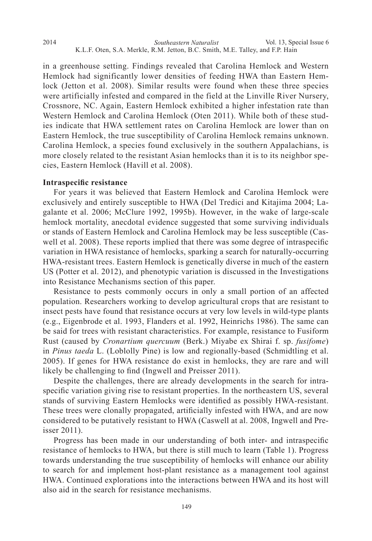in a greenhouse setting. Findings revealed that Carolina Hemlock and Western Hemlock had significantly lower densities of feeding HWA than Eastern Hemlock (Jetton et al. 2008). Similar results were found when these three species were artificially infested and compared in the field at the Linville River Nursery, Crossnore, NC. Again, Eastern Hemlock exhibited a higher infestation rate than Western Hemlock and Carolina Hemlock (Oten 2011). While both of these studies indicate that HWA settlement rates on Carolina Hemlock are lower than on Eastern Hemlock, the true susceptibility of Carolina Hemlock remains unknown. Carolina Hemlock, a species found exclusively in the southern Appalachians, is more closely related to the resistant Asian hemlocks than it is to its neighbor species, Eastern Hemlock (Havill et al. 2008).

#### **Intraspeci¿c resistance**

 For years it was believed that Eastern Hemlock and Carolina Hemlock were exclusively and entirely susceptible to HWA (Del Tredici and Kitajima 2004; Lagalante et al. 2006; McClure 1992, 1995b). However, in the wake of large-scale hemlock mortality, anecdotal evidence suggested that some surviving individuals or stands of Eastern Hemlock and Carolina Hemlock may be less susceptible (Caswell et al. 2008). These reports implied that there was some degree of intraspecific variation in HWA resistance of hemlocks, sparking a search for naturally-occurring HWA-resistant trees. Eastern Hemlock is genetically diverse in much of the eastern US (Potter et al. 2012), and phenotypic variation is discussed in the Investigations into Resistance Mechanisms section of this paper.

 Resistance to pests commonly occurs in only a small portion of an affected population. Researchers working to develop agricultural crops that are resistant to insect pests have found that resistance occurs at very low levels in wild-type plants (e.g., Eigenbrode et al. 1993, Flanders et al. 1992, Heinrichs 1986). The same can be said for trees with resistant characteristics. For example, resistance to Fusiform Rust (caused by *Cronartium quercuum* (Berk.) Miyabe ex Shirai f. sp. *fusifome*) in *Pinus taeda* L. (Loblolly Pine) is low and regionally-based (Schmidtling et al. 2005). If genes for HWA resistance do exist in hemlocks, they are rare and will likely be challenging to find (Ingwell and Preisser 2011).

 Despite the challenges, there are already developments in the search for intraspecific variation giving rise to resistant properties. In the northeastern US, several stands of surviving Eastern Hemlocks were identified as possibly HWA-resistant. These trees were clonally propagated, artificially infested with HWA, and are now considered to be putatively resistant to HWA (Caswell at al. 2008, Ingwell and Preisser 2011).

Progress has been made in our understanding of both inter- and intraspecific resistance of hemlocks to HWA, but there is still much to learn (Table 1). Progress towards understanding the true susceptibility of hemlocks will enhance our ability to search for and implement host-plant resistance as a management tool against HWA. Continued explorations into the interactions between HWA and its host will also aid in the search for resistance mechanisms.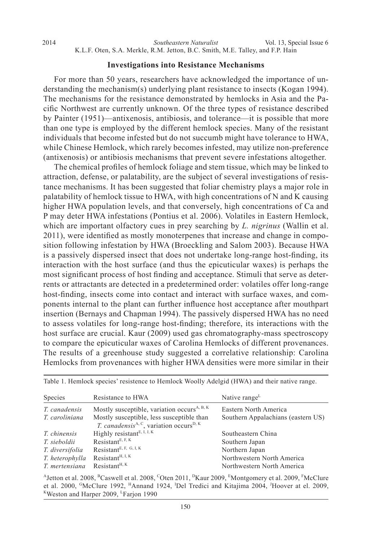### **Investigations into Resistance Mechanisms**

 For more than 50 years, researchers have acknowledged the importance of understanding the mechanism(s) underlying plant resistance to insects (Kogan 1994). The mechanisms for the resistance demonstrated by hemlocks in Asia and the Pacific Northwest are currently unknown. Of the three types of resistance described by Painter (1951)—antixenosis, antibiosis, and tolerance—it is possible that more than one type is employed by the different hemlock species. Many of the resistant individuals that become infested but do not succumb might have tolerance to HWA, while Chinese Hemlock, which rarely becomes infested, may utilize non-preference (antixenosis) or antibiosis mechanisms that prevent severe infestations altogether.

The chemical profiles of hemlock foliage and stem tissue, which may be linked to attraction, defense, or palatability, are the subject of several investigations of resistance mechanisms. It has been suggested that foliar chemistry plays a major role in palatability of hemlock tissue to HWA, with high concentrations of N and K causing higher HWA population levels, and that conversely, high concentrations of Ca and P may deter HWA infestations (Pontius et al. 2006). Volatiles in Eastern Hemlock, which are important olfactory cues in prey searching by *L. nigrinus* (Wallin et al. 2011), were identified as mostly monoterpenes that increase and change in composition following infestation by HWA (Broeckling and Salom 2003). Because HWA is a passively dispersed insect that does not undertake long-range host-finding, its interaction with the host surface (and thus the epicuticular waxes) is perhaps the most significant process of host finding and acceptance. Stimuli that serve as deterrents or attractants are detected in a predetermined order: volatiles offer long-range host-finding, insects come into contact and interact with surface waxes, and components internal to the plant can further influence host acceptance after mouthpart insertion (Bernays and Chapman 1994). The passively dispersed HWA has no need to assess volatiles for long-range host-finding; therefore, its interactions with the host surface are crucial. Kaur (2009) used gas chromatography-mass spectroscopy to compare the epicuticular waxes of Carolina Hemlocks of different provenances. The results of a greenhouse study suggested a correlative relationship: Carolina Hemlocks from provenances with higher HWA densities were more similar in their

| <b>Species</b>  | Resistance to HWA                                                                                                    | Native range                       |
|-----------------|----------------------------------------------------------------------------------------------------------------------|------------------------------------|
| T. canadensis   | Mostly susceptible, variation occurs <sup>A, B, K</sup>                                                              | Eastern North America              |
| T. caroliniana  | Mostly susceptible, less susceptible than<br><i>T. canadensis</i> <sup>A, C</sup> , variation occurs <sup>D, K</sup> | Southern Appalachians (eastern US) |
| T. chinensis    | Highly resistant <sup>E, I, J, K</sup>                                                                               | Southeastern China                 |
| T. sieboldii    | Resistant <sup>E, F, K</sup>                                                                                         | Southern Japan                     |
| T. diversifolia | Resistant <sup>E, F, G, I, K</sup>                                                                                   | Northern Japan                     |
| T. heterophylla | Resistant <sup>H, I, K</sup>                                                                                         | Northwestern North America         |
| T. mertensiana  | Resistant <sup>H, K</sup>                                                                                            | Northwestern North America         |

Table 1. Hemlock species' resistence to Hemlock Woolly Adelgid (HWA) and their native range.

A Jetton et al. 2008, <sup>B</sup>Caswell et al. 2008, <sup>C</sup>Oten 2011, <sup>D</sup>Kaur 2009, <sup>E</sup>Montgomery et al. 2009, <sup>F</sup>McClure et al. 2000, <sup>G</sup>McClure 1992, <sup>H</sup>Annand 1924, <sup>I</sup>Del Tredici and Kitajima 2004, <sup>J</sup>Hoover at el. 2009, <sup>K</sup>Weston and Harper 2009, <sup>L</sup>Farjon 1990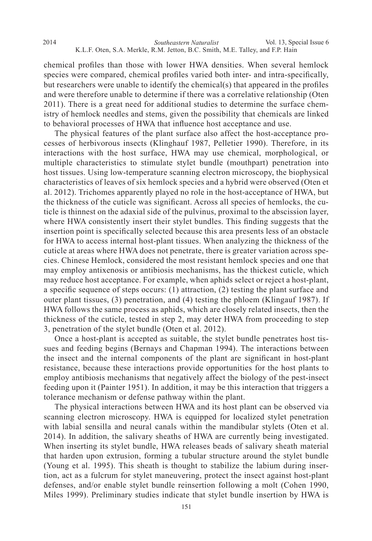*Southeastern Naturalist* 2014 Vol. 13, Special Issue 6 K.L.F. Oten, S.A. Merkle, R.M. Jetton, B.C. Smith, M.E. Talley, and F.P. Hain

chemical profiles than those with lower HWA densities. When several hemlock species were compared, chemical profiles varied both inter- and intra-specifically, but researchers were unable to identify the chemical(s) that appeared in the profiles and were therefore unable to determine if there was a correlative relationship (Oten 2011). There is a great need for additional studies to determine the surface chemistry of hemlock needles and stems, given the possibility that chemicals are linked to behavioral processes of HWA that influence host acceptance and use.

 The physical features of the plant surface also affect the host-acceptance processes of herbivorous insects (Klinghauf 1987, Pelletier 1990). Therefore, in its interactions with the host surface, HWA may use chemical, morphological, or multiple characteristics to stimulate stylet bundle (mouthpart) penetration into host tissues. Using low-temperature scanning electron microscopy, the biophysical characteristics of leaves of six hemlock species and a hybrid were observed (Oten et al. 2012). Trichomes apparently played no role in the host-acceptance of HWA, but the thickness of the cuticle was significant. Across all species of hemolocks, the cuticle is thinnest on the adaxial side of the pulvinus, proximal to the abscission layer, where HWA consistently insert their stylet bundles. This finding suggests that the insertion point is specifically selected because this area presents less of an obstacle for HWA to access internal host-plant tissues. When analyzing the thickness of the cuticle at areas where HWA does not penetrate, there is greater variation across species. Chinese Hemlock, considered the most resistant hemlock species and one that may employ antixenosis or antibiosis mechanisms, has the thickest cuticle, which may reduce host acceptance. For example, when aphids select or reject a host-plant, a specific sequence of steps occurs:  $(1)$  attraction,  $(2)$  testing the plant surface and outer plant tissues, (3) penetration, and (4) testing the phloem (Klingauf 1987). If HWA follows the same process as aphids, which are closely related insects, then the thickness of the cuticle, tested in step 2, may deter HWA from proceeding to step 3, penetration of the stylet bundle (Oten et al. 2012).

 Once a host-plant is accepted as suitable, the stylet bundle penetrates host tissues and feeding begins (Bernays and Chapman 1994). The interactions between the insect and the internal components of the plant are significant in host-plant resistance, because these interactions provide opportunities for the host plants to employ antibiosis mechanisms that negatively affect the biology of the pest-insect feeding upon it (Painter 1951). In addition, it may be this interaction that triggers a tolerance mechanism or defense pathway within the plant.

 The physical interactions between HWA and its host plant can be observed via scanning electron microscopy. HWA is equipped for localized stylet penetration with labial sensilla and neural canals within the mandibular stylets (Oten et al. 2014). In addition, the salivary sheaths of HWA are currently being investigated. When inserting its stylet bundle, HWA releases beads of salivary sheath material that harden upon extrusion, forming a tubular structure around the stylet bundle (Young et al. 1995). This sheath is thought to stabilize the labium during insertion, act as a fulcrum for stylet maneuvering, protect the insect against host-plant defenses, and/or enable stylet bundle reinsertion following a molt (Cohen 1990, Miles 1999). Preliminary studies indicate that stylet bundle insertion by HWA is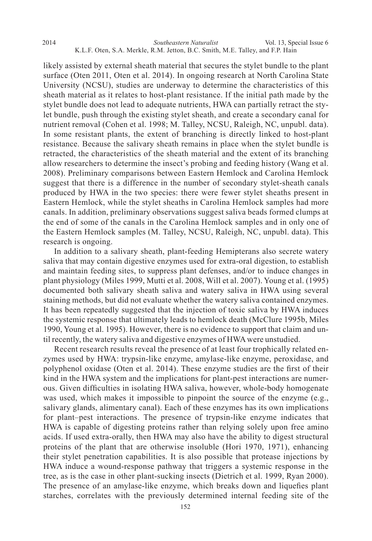likely assisted by external sheath material that secures the stylet bundle to the plant surface (Oten 2011, Oten et al. 2014). In ongoing research at North Carolina State University (NCSU), studies are underway to determine the characteristics of this sheath material as it relates to host-plant resistance. If the initial path made by the stylet bundle does not lead to adequate nutrients, HWA can partially retract the stylet bundle, push through the existing stylet sheath, and create a secondary canal for nutrient removal (Cohen et al. 1998; M. Talley, NCSU, Raleigh, NC, unpubl. data). In some resistant plants, the extent of branching is directly linked to host-plant resistance. Because the salivary sheath remains in place when the stylet bundle is retracted, the characteristics of the sheath material and the extent of its branching allow researchers to determine the insect's probing and feeding history (Wang et al. 2008). Preliminary comparisons between Eastern Hemlock and Carolina Hemlock suggest that there is a difference in the number of secondary stylet-sheath canals produced by HWA in the two species: there were fewer stylet sheaths present in Eastern Hemlock, while the stylet sheaths in Carolina Hemlock samples had more canals. In addition, preliminary observations suggest saliva beads formed clumps at the end of some of the canals in the Carolina Hemlock samples and in only one of the Eastern Hemlock samples (M. Talley, NCSU, Raleigh, NC, unpubl. data). This research is ongoing.

 In addition to a salivary sheath, plant-feeding Hemipterans also secrete watery saliva that may contain digestive enzymes used for extra-oral digestion, to establish and maintain feeding sites, to suppress plant defenses, and/or to induce changes in plant physiology (Miles 1999, Mutti et al. 2008, Will et al. 2007). Young et al. (1995) documented both salivary sheath saliva and watery saliva in HWA using several staining methods, but did not evaluate whether the watery saliva contained enzymes. It has been repeatedly suggested that the injection of toxic saliva by HWA induces the systemic response that ultimately leads to hemlock death (McClure 1995b, Miles 1990, Young et al. 1995). However, there is no evidence to support that claim and until recently, the watery saliva and digestive enzymes of HWA were unstudied.

 Recent research results reveal the presence of at least four trophically related enzymes used by HWA: trypsin-like enzyme, amylase-like enzyme, peroxidase, and polyphenol oxidase (Oten et al. 2014). These enzyme studies are the first of their kind in the HWA system and the implications for plant-pest interactions are numerous. Given difficulties in isolating HWA saliva, however, whole-body homogenate was used, which makes it impossible to pinpoint the source of the enzyme (e.g., salivary glands, alimentary canal). Each of these enzymes has its own implications for plant–pest interactions. The presence of trypsin-like enzyme indicates that HWA is capable of digesting proteins rather than relying solely upon free amino acids. If used extra-orally, then HWA may also have the ability to digest structural proteins of the plant that are otherwise insoluble (Hori 1970, 1971), enhancing their stylet penetration capabilities. It is also possible that protease injections by HWA induce a wound-response pathway that triggers a systemic response in the tree, as is the case in other plant-sucking insects (Dietrich et al. 1999, Ryan 2000). The presence of an amylase-like enzyme, which breaks down and liquefies plant starches, correlates with the previously determined internal feeding site of the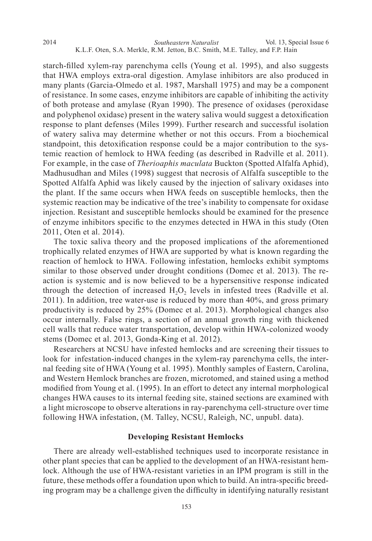*Southeastern Naturalist* 2014 Vol. 13, Special Issue 6 K.L.F. Oten, S.A. Merkle, R.M. Jetton, B.C. Smith, M.E. Talley, and F.P. Hain

starch-filled xylem-ray parenchyma cells (Young et al. 1995), and also suggests that HWA employs extra-oral digestion. Amylase inhibitors are also produced in many plants (Garcia-Olmedo et al. 1987, Marshall 1975) and may be a component of resistance. In some cases, enzyme inhibitors are capable of inhibiting the activity of both protease and amylase (Ryan 1990). The presence of oxidases (peroxidase and polyphenol oxidase) present in the watery saliva would suggest a detoxification response to plant defenses (Miles 1999). Further research and successful isolation of watery saliva may determine whether or not this occurs. From a biochemical standpoint, this detoxification response could be a major contribution to the systemic reaction of hemlock to HWA feeding (as described in Radville et al. 2011). For example, in the case of *Therioaphis maculata* Buckton (Spotted Alfalfa Aphid), Madhusudhan and Miles (1998) suggest that necrosis of Alfalfa susceptible to the Spotted Alfalfa Aphid was likely caused by the injection of salivary oxidases into the plant. If the same occurs when HWA feeds on susceptible hemlocks, then the systemic reaction may be indicative of the tree's inability to compensate for oxidase injection. Resistant and susceptible hemlocks should be examined for the presence of enzyme inhibitors specific to the enzymes detected in HWA in this study (Oten 2011, Oten et al. 2014).

 The toxic saliva theory and the proposed implications of the aforementioned trophically related enzymes of HWA are supported by what is known regarding the reaction of hemlock to HWA. Following infestation, hemlocks exhibit symptoms similar to those observed under drought conditions (Domec et al. 2013). The reaction is systemic and is now believed to be a hypersensitive response indicated through the detection of increased  $H_2O_2$  levels in infested trees (Radville et al. 2011). In addition, tree water-use is reduced by more than 40%, and gross primary productivity is reduced by 25% (Domec et al. 2013). Morphological changes also occur internally. False rings, a section of an annual growth ring with thickened cell walls that reduce water transportation, develop within HWA-colonized woody stems (Domec et al. 2013, Gonda-King et al. 2012).

 Researchers at NCSU have infested hemlocks and are screening their tissues to look for infestation-induced changes in the xylem-ray parenchyma cells, the internal feeding site of HWA (Young et al. 1995). Monthly samples of Eastern, Carolina, and Western Hemlock branches are frozen, microtomed, and stained using a method modified from Young et al. (1995). In an effort to detect any internal morphological changes HWA causes to its internal feeding site, stained sections are examined with a light microscope to observe alterations in ray-parenchyma cell-structure over time following HWA infestation, (M. Talley, NCSU, Raleigh, NC, unpubl. data).

#### **Developing Resistant Hemlocks**

There are already well-established techniques used to incorporate resistance in other plant species that can be applied to the development of an HWA-resistant hemlock. Although the use of HWA-resistant varieties in an IPM program is still in the future, these methods offer a foundation upon which to build. An intra-specific breeding program may be a challenge given the difficulty in identifying naturally resistant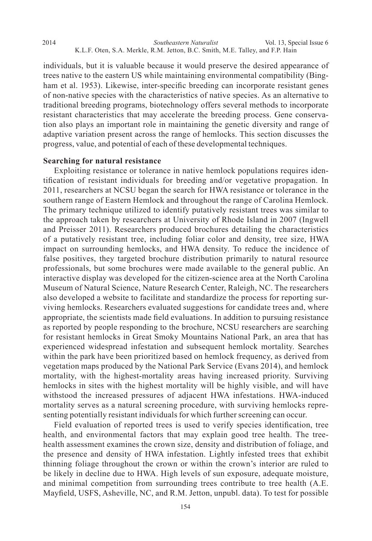individuals, but it is valuable because it would preserve the desired appearance of trees native to the eastern US while maintaining environmental compatibility (Bingham et al. 1953). Likewise, inter-specific breeding can incorporate resistant genes of non-native species with the characteristics of native species. As an alternative to traditional breeding programs, biotechnology offers several methods to incorporate resistant characteristics that may accelerate the breeding process. Gene conservation also plays an important role in maintaining the genetic diversity and range of adaptive variation present across the range of hemlocks. This section discusses the progress, value, and potential of each of these developmental techniques.

#### **Searching for natural resistance**

 Exploiting resistance or tolerance in native hemlock populations requires identification of resistant individuals for breeding and/or vegetative propagation. In 2011, researchers at NCSU began the search for HWA resistance or tolerance in the southern range of Eastern Hemlock and throughout the range of Carolina Hemlock. The primary technique utilized to identify putatively resistant trees was similar to the approach taken by researchers at University of Rhode Island in 2007 (Ingwell and Preisser 2011). Researchers produced brochures detailing the characteristics of a putatively resistant tree, including foliar color and density, tree size, HWA impact on surrounding hemlocks, and HWA density. To reduce the incidence of false positives, they targeted brochure distribution primarily to natural resource professionals, but some brochures were made available to the general public. An interactive display was developed for the citizen-science area at the North Carolina Museum of Natural Science, Nature Research Center, Raleigh, NC. The researchers also developed a website to facilitate and standardize the process for reporting surviving hemlocks. Researchers evaluated suggestions for candidate trees and, where appropriate, the scientists made field evaluations. In addition to pursuing resistance as reported by people responding to the brochure, NCSU researchers are searching for resistant hemlocks in Great Smoky Mountains National Park, an area that has experienced widespread infestation and subsequent hemlock mortality. Searches within the park have been prioritized based on hemlock frequency, as derived from vegetation maps produced by the National Park Service (Evans 2014), and hemlock mortality, with the highest-mortality areas having increased priority. Surviving hemlocks in sites with the highest mortality will be highly visible, and will have withstood the increased pressures of adjacent HWA infestations. HWA-induced mortality serves as a natural screening procedure, with surviving hemlocks representing potentially resistant individuals for which further screening can occur.

Field evaluation of reported trees is used to verify species identification, tree health, and environmental factors that may explain good tree health. The treehealth assessment examines the crown size, density and distribution of foliage, and the presence and density of HWA infestation. Lightly infested trees that exhibit thinning foliage throughout the crown or within the crown's interior are ruled to be likely in decline due to HWA. High levels of sun exposure, adequate moisture, and minimal competition from surrounding trees contribute to tree health (A.E. Mayfield, USFS, Asheville, NC, and R.M. Jetton, unpubl. data). To test for possible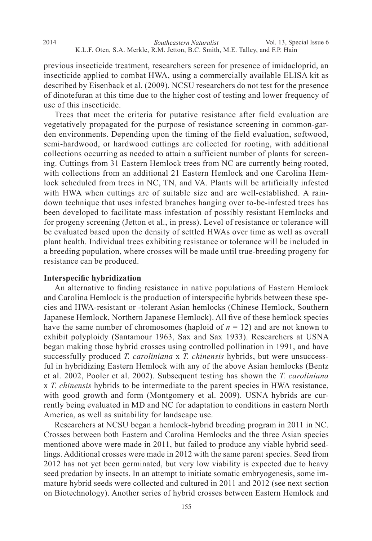previous insecticide treatment, researchers screen for presence of imidacloprid, an insecticide applied to combat HWA, using a commercially available ELISA kit as described by Eisenback et al. (2009). NCSU researchers do not test for the presence of dinotefuran at this time due to the higher cost of testing and lower frequency of use of this insecticide.

 Trees that meet the criteria for putative resistance after field evaluation are vegetatively propagated for the purpose of resistance screening in common-garden environments. Depending upon the timing of the field evaluation, softwood, semi-hardwood, or hardwood cuttings are collected for rooting, with additional collections occurring as needed to attain a sufficient number of plants for screening. Cuttings from 31 Eastern Hemlock trees from NC are currently being rooted, with collections from an additional 21 Eastern Hemlock and one Carolina Hemlock scheduled from trees in NC, TN, and VA. Plants will be artificially infested with HWA when cuttings are of suitable size and are well-established. A raindown technique that uses infested branches hanging over to-be-infested trees has been developed to facilitate mass infestation of possibly resistant Hemlocks and for progeny screening (Jetton et al., in press). Level of resistance or tolerance will be evaluated based upon the density of settled HWAs over time as well as overall plant health. Individual trees exhibiting resistance or tolerance will be included in a breeding population, where crosses will be made until true-breeding progeny for resistance can be produced.

#### **Interspeci¿c hybridi]ation**

An alternative to finding resistance in native populations of Eastern Hemlock and Carolina Hemlock is the production of interspecific hybrids between these species and HWA-resistant or -tolerant Asian hemlocks (Chinese Hemlock, Southern Japanese Hemlock, Northern Japanese Hemlock). All five of these hemlock species have the same number of chromosomes (haploid of  $n = 12$ ) and are not known to exhibit polyploidy (Santamour 1963, Sax and Sax 1933). Researchers at USNA began making those hybrid crosses using controlled pollination in 1991, and have successfully produced *T. caroliniana* x *T. chinensis* hybrids, but were unsuccessful in hybridizing Eastern Hemlock with any of the above Asian hemlocks (Bentz et al. 2002, Pooler et al. 2002). Subsequent testing has shown the *T. caroliniana* x *T. chinensis* hybrids to be intermediate to the parent species in HWA resistance, with good growth and form (Montgomery et al. 2009). USNA hybrids are currently being evaluated in MD and NC for adaptation to conditions in eastern North America, as well as suitability for landscape use.

 Researchers at NCSU began a hemlock-hybrid breeding program in 2011 in NC. Crosses between both Eastern and Carolina Hemlocks and the three Asian species mentioned above were made in 2011, but failed to produce any viable hybrid seedlings. Additional crosses were made in 2012 with the same parent species. Seed from 2012 has not yet been germinated, but very low viability is expected due to heavy seed predation by insects. In an attempt to initiate somatic embryogenesis, some immature hybrid seeds were collected and cultured in 2011 and 2012 (see next section on Biotechnology). Another series of hybrid crosses between Eastern Hemlock and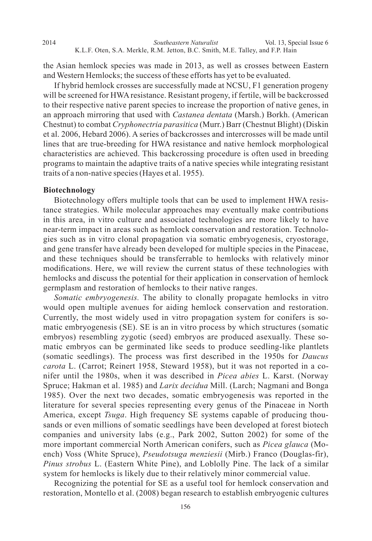the Asian hemlock species was made in 2013, as well as crosses between Eastern and Western Hemlocks; the success of these efforts has yet to be evaluated.

 If hybrid hemlock crosses are successfully made at NCSU, F1 generation progeny will be screened for HWA resistance. Resistant progeny, if fertile, will be backcrossed to their respective native parent species to increase the proportion of native genes, in an approach mirroring that used with *Castanea dentata* (Marsh.) Borkh. (American Chestnut) to combat *Cryphonectria parasitica* (Murr.) Barr (Chestnut Blight) (Diskin et al. 2006, Hebard 2006). A series of backcrosses and intercrosses will be made until lines that are true-breeding for HWA resistance and native hemlock morphological characteristics are achieved. This backcrossing procedure is often used in breeding programs to maintain the adaptive traits of a native species while integrating resistant traits of a non-native species (Hayes et al. 1955).

#### **Biotechnology**

 Biotechnology offers multiple tools that can be used to implement HWA resistance strategies. While molecular approaches may eventually make contributions in this area, in vitro culture and associated technologies are more likely to have near-term impact in areas such as hemlock conservation and restoration. Technologies such as in vitro clonal propagation via somatic embryogenesis, cryostorage, and gene transfer have already been developed for multiple species in the Pinaceae, and these techniques should be transferrable to hemlocks with relatively minor modifications. Here, we will review the current status of these technologies with hemlocks and discuss the potential for their application in conservation of hemlock germplasm and restoration of hemlocks to their native ranges.

 *Somatic embryogenesis.* The ability to clonally propagate hemlocks in vitro would open multiple avenues for aiding hemlock conservation and restoration. Currently, the most widely used in vitro propagation system for conifers is somatic embryogenesis (SE). SE is an in vitro process by which structures (somatic embryos) resembling zygotic (seed) embryos are produced asexually. These somatic embryos can be germinated like seeds to produce seedling-like plantlets (somatic seedlings). The process was first described in the 1950s for *Daucus carota* L. (Carrot; Reinert 1958, Steward 1958), but it was not reported in a conifer until the 1980s, when it was described in *Picea abies* L. Karst. (Norway Spruce; Hakman et al. 1985) and *Larix decidua* Mill. (Larch; Nagmani and Bonga 1985). Over the next two decades, somatic embryogenesis was reported in the literature for several species representing every genus of the Pinaceae in North America, except *Tsuga*. High frequency SE systems capable of producing thousands or even millions of somatic seedlings have been developed at forest biotech companies and university labs (e.g., Park 2002, Sutton 2002) for some of the more important commercial North American conifers, such as *Picea glauca* (Moench) Voss (White Spruce), *Pseudotsuga menziesii* (Mirb.) Franco (Douglas-fir), *Pinus strobus* L. (Eastern White Pine), and Loblolly Pine. The lack of a similar system for hemlocks is likely due to their relatively minor commercial value.

 Recognizing the potential for SE as a useful tool for hemlock conservation and restoration, Montello et al. (2008) began research to establish embryogenic cultures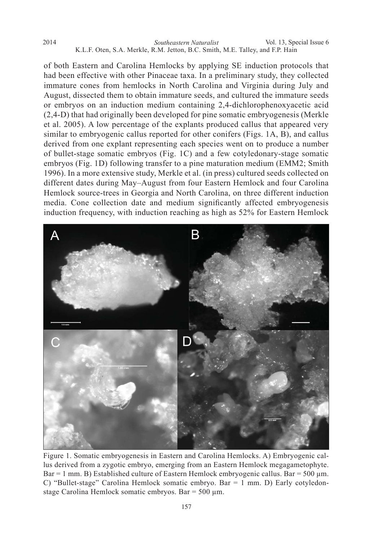of both Eastern and Carolina Hemlocks by applying SE induction protocols that had been effective with other Pinaceae taxa. In a preliminary study, they collected immature cones from hemlocks in North Carolina and Virginia during July and August, dissected them to obtain immature seeds, and cultured the immature seeds or embryos on an induction medium containing 2,4-dichlorophenoxyacetic acid (2,4-D) that had originally been developed for pine somatic embryogenesis (Merkle et al. 2005). A low percentage of the explants produced callus that appeared very similar to embryogenic callus reported for other conifers (Figs. 1A, B), and callus derived from one explant representing each species went on to produce a number of bullet-stage somatic embryos (Fig. 1C) and a few cotyledonary-stage somatic embryos (Fig. 1D) following transfer to a pine maturation medium (EMM2; Smith 1996). In a more extensive study, Merkle et al. (in press) cultured seeds collected on different dates during May–August from four Eastern Hemlock and four Carolina Hemlock source-trees in Georgia and North Carolina, on three different induction media. Cone collection date and medium significantly affected embryogenesis induction frequency, with induction reaching as high as 52% for Eastern Hemlock



Figure 1. Somatic embryogenesis in Eastern and Carolina Hemlocks. A) Embryogenic callus derived from a zygotic embryo, emerging from an Eastern Hemlock megagametophyte.  $Bar = 1$  mm. B) Established culture of Eastern Hemlock embryogenic callus. Bar = 500  $\mu$ m. C) "Bullet-stage" Carolina Hemlock somatic embryo. Bar = 1 mm. D) Early cotyledonstage Carolina Hemlock somatic embryos. Bar = 500 μm.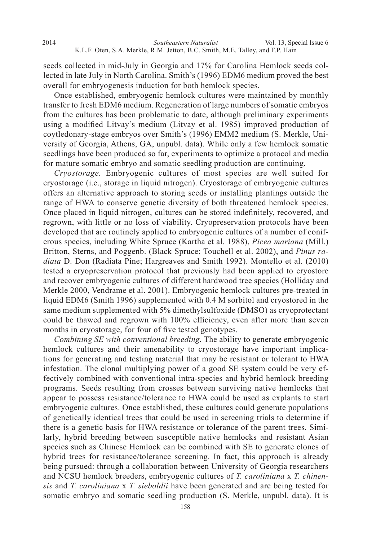seeds collected in mid-July in Georgia and 17% for Carolina Hemlock seeds collected in late July in North Carolina. Smith's (1996) EDM6 medium proved the best overall for embryogenesis induction for both hemlock species.

 Once established, embryogenic hemlock cultures were maintained by monthly transfer to fresh EDM6 medium. Regeneration of large numbers of somatic embryos from the cultures has been problematic to date, although preliminary experiments using a modified Litvay's medium (Litvay et al. 1985) improved production of coytledonary-stage embryos over Smith's (1996) EMM2 medium (S. Merkle, University of Georgia, Athens, GA, unpubl. data). While only a few hemlock somatic seedlings have been produced so far, experiments to optimize a protocol and media for mature somatic embryo and somatic seedling production are continuing.

 *Cryostorage.* Embryogenic cultures of most species are well suited for cryostorage (i.e., storage in liquid nitrogen). Cryostorage of embryogenic cultures offers an alternative approach to storing seeds or installing plantings outside the range of HWA to conserve genetic diversity of both threatened hemlock species. Once placed in liquid nitrogen, cultures can be stored indefinitely, recovered, and regrown, with little or no loss of viability. Cryopreservation protocols have been developed that are routinely applied to embryogenic cultures of a number of coniferous species, including White Spruce (Kartha et al. 1988), *Picea mariana* (Mill.) Britton, Sterns, and Poggenb. (Black Spruce; Touchell et al. 2002), and *Pinus radiata* D. Don (Radiata Pine; Hargreaves and Smith 1992). Montello et al. (2010) tested a cryopreservation protocol that previously had been applied to cryostore and recover embryogenic cultures of different hardwood tree species (Holliday and Merkle 2000, Vendrame et al. 2001). Embryogenic hemlock cultures pre-treated in liquid EDM6 (Smith 1996) supplemented with 0.4 M sorbitol and cryostored in the same medium supplemented with 5% dimethylsulfoxide (DMSO) as cryoprotectant could be thawed and regrown with 100% efficiency, even after more than seven months in cryostorage, for four of five tested genotypes.

 *Combining SE with conventional breeding.* The ability to generate embryogenic hemlock cultures and their amenability to cryostorage have important implications for generating and testing material that may be resistant or tolerant to HWA infestation. The clonal multiplying power of a good SE system could be very effectively combined with conventional intra-species and hybrid hemlock breeding programs. Seeds resulting from crosses between surviving native hemlocks that appear to possess resistance/tolerance to HWA could be used as explants to start embryogenic cultures. Once established, these cultures could generate populations of genetically identical trees that could be used in screening trials to determine if there is a genetic basis for HWA resistance or tolerance of the parent trees. Similarly, hybrid breeding between susceptible native hemlocks and resistant Asian species such as Chinese Hemlock can be combined with SE to generate clones of hybrid trees for resistance/tolerance screening. In fact, this approach is already being pursued: through a collaboration between University of Georgia researchers and NCSU hemlock breeders, embryogenic cultures of *T. caroliniana* x *T. chinensis* and *T. caroliniana* x *T. sieboldii* have been generated and are being tested for somatic embryo and somatic seedling production (S. Merkle, unpubl. data). It is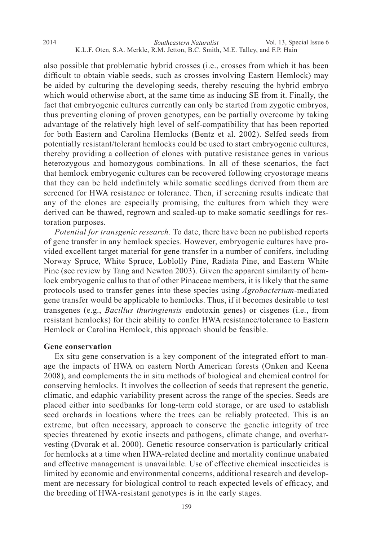*Southeastern Naturalist* 2014 Vol. 13, Special Issue 6 K.L.F. Oten, S.A. Merkle, R.M. Jetton, B.C. Smith, M.E. Talley, and F.P. Hain

also possible that problematic hybrid crosses (i.e., crosses from which it has been difficult to obtain viable seeds, such as crosses involving Eastern Hemlock) may be aided by culturing the developing seeds, thereby rescuing the hybrid embryo which would otherwise abort, at the same time as inducing SE from it. Finally, the fact that embryogenic cultures currently can only be started from zygotic embryos, thus preventing cloning of proven genotypes, can be partially overcome by taking advantage of the relatively high level of self-compatibility that has been reported for both Eastern and Carolina Hemlocks (Bentz et al. 2002). Selfed seeds from potentially resistant/tolerant hemlocks could be used to start embryogenic cultures, thereby providing a collection of clones with putative resistance genes in various heterozygous and homozygous combinations. In all of these scenarios, the fact that hemlock embryogenic cultures can be recovered following cryostorage means that they can be held indefinitely while somatic seedlings derived from them are screened for HWA resistance or tolerance. Then, if screening results indicate that any of the clones are especially promising, the cultures from which they were derived can be thawed, regrown and scaled-up to make somatic seedlings for restoration purposes.

 *Potential for transgenic research.* To date, there have been no published reports of gene transfer in any hemlock species. However, embryogenic cultures have provided excellent target material for gene transfer in a number of conifers, including Norway Spruce, White Spruce, Loblolly Pine, Radiata Pine, and Eastern White Pine (see review by Tang and Newton 2003). Given the apparent similarity of hemlock embryogenic callus to that of other Pinaceae members, it is likely that the same protocols used to transfer genes into these species using *Agrobacterium*-mediated gene transfer would be applicable to hemlocks. Thus, if it becomes desirable to test transgenes (e.g., *Bacillus thuringiensis* endotoxin genes) or cisgenes (i.e., from resistant hemlocks) for their ability to confer HWA resistance/tolerance to Eastern Hemlock or Carolina Hemlock, this approach should be feasible.

#### **Gene conservation**

Ex situ gene conservation is a key component of the integrated effort to manage the impacts of HWA on eastern North American forests (Onken and Keena 2008), and complements the in situ methods of biological and chemical control for conserving hemlocks. It involves the collection of seeds that represent the genetic, climatic, and edaphic variability present across the range of the species. Seeds are placed either into seedbanks for long-term cold storage, or are used to establish seed orchards in locations where the trees can be reliably protected. This is an extreme, but often necessary, approach to conserve the genetic integrity of tree species threatened by exotic insects and pathogens, climate change, and overharvesting (Dvorak et al. 2000). Genetic resource conservation is particularly critical for hemlocks at a time when HWA-related decline and mortality continue unabated and effective management is unavailable. Use of effective chemical insecticides is limited by economic and environmental concerns, additional research and development are necessary for biological control to reach expected levels of efficacy, and the breeding of HWA-resistant genotypes is in the early stages.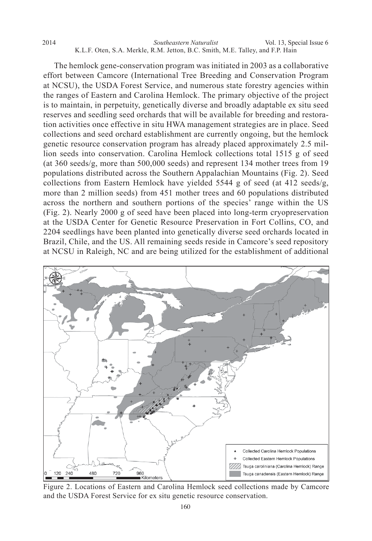The hemlock gene-conservation program was initiated in 2003 as a collaborative effort between Camcore (International Tree Breeding and Conservation Program at NCSU), the USDA Forest Service, and numerous state forestry agencies within the ranges of Eastern and Carolina Hemlock. The primary objective of the project is to maintain, in perpetuity, genetically diverse and broadly adaptable ex situ seed reserves and seedling seed orchards that will be available for breeding and restoration activities once effective in situ HWA management strategies are in place. Seed collections and seed orchard establishment are currently ongoing, but the hemlock genetic resource conservation program has already placed approximately 2.5 million seeds into conservation. Carolina Hemlock collections total 1515 g of seed (at 360 seeds/g, more than 500,000 seeds) and represent 134 mother trees from 19 populations distributed across the Southern Appalachian Mountains (Fig. 2). Seed collections from Eastern Hemlock have yielded 5544 g of seed (at 412 seeds/g, more than 2 million seeds) from 451 mother trees and 60 populations distributed across the northern and southern portions of the species' range within the US (Fig. 2). Nearly 2000 g of seed have been placed into long-term cryopreservation at the USDA Center for Genetic Resource Preservation in Fort Collins, CO, and 2204 seedlings have been planted into genetically diverse seed orchards located in Brazil, Chile, and the US. All remaining seeds reside in Camcore's seed repository at NCSU in Raleigh, NC and are being utilized for the establishment of additional



Figure 2. Locations of Eastern and Carolina Hemlock seed collections made by Camcore and the USDA Forest Service for ex situ genetic resource conservation.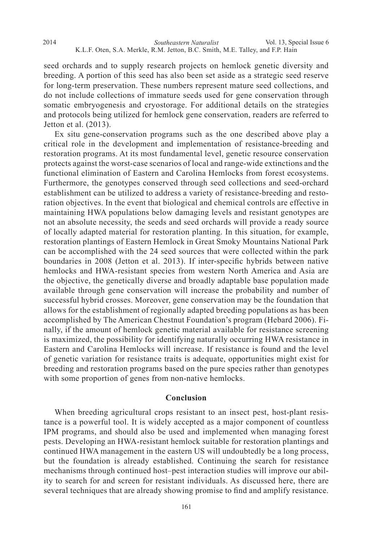seed orchards and to supply research projects on hemlock genetic diversity and breeding. A portion of this seed has also been set aside as a strategic seed reserve for long-term preservation. These numbers represent mature seed collections, and do not include collections of immature seeds used for gene conservation through somatic embryogenesis and cryostorage. For additional details on the strategies and protocols being utilized for hemlock gene conservation, readers are referred to Jetton et al. (2013).

Ex situ gene-conservation programs such as the one described above play a critical role in the development and implementation of resistance-breeding and restoration programs. At its most fundamental level, genetic resource conservation protects against the worst-case scenarios of local and range-wide extinctions and the functional elimination of Eastern and Carolina Hemlocks from forest ecosystems. Furthermore, the genotypes conserved through seed collections and seed-orchard establishment can be utilized to address a variety of resistance-breeding and restoration objectives. In the event that biological and chemical controls are effective in maintaining HWA populations below damaging levels and resistant genotypes are not an absolute necessity, the seeds and seed orchards will provide a ready source of locally adapted material for restoration planting. In this situation, for example, restoration plantings of Eastern Hemlock in Great Smoky Mountains National Park can be accomplished with the 24 seed sources that were collected within the park boundaries in 2008 (Jetton et al. 2013). If inter-specific hybrids between native hemlocks and HWA-resistant species from western North America and Asia are the objective, the genetically diverse and broadly adaptable base population made available through gene conservation will increase the probability and number of successful hybrid crosses. Moreover, gene conservation may be the foundation that allows for the establishment of regionally adapted breeding populations as has been accomplished by The American Chestnut Foundation's program (Hebard 2006). Finally, if the amount of hemlock genetic material available for resistance screening is maximized, the possibility for identifying naturally occurring HWA resistance in Eastern and Carolina Hemlocks will increase. If resistance is found and the level of genetic variation for resistance traits is adequate, opportunities might exist for breeding and restoration programs based on the pure species rather than genotypes with some proportion of genes from non-native hemlocks.

#### **Conclusion**

 When breeding agricultural crops resistant to an insect pest, host-plant resistance is a powerful tool. It is widely accepted as a major component of countless IPM programs, and should also be used and implemented when managing forest pests. Developing an HWA-resistant hemlock suitable for restoration plantings and continued HWA management in the eastern US will undoubtedly be a long process, but the foundation is already established. Continuing the search for resistance mechanisms through continued host–pest interaction studies will improve our ability to search for and screen for resistant individuals. As discussed here, there are several techniques that are already showing promise to find and amplify resistance.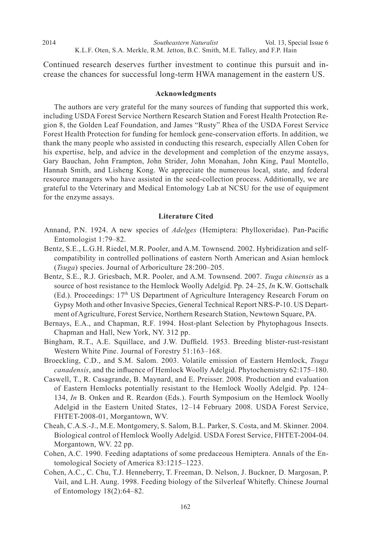Continued research deserves further investment to continue this pursuit and increase the chances for successful long-term HWA management in the eastern US.

#### **Acknowledgments**

 The authors are very grateful for the many sources of funding that supported this work, including USDA Forest Service Northern Research Station and Forest Health Protection Region 8, the Golden Leaf Foundation, and James "Rusty" Rhea of the USDA Forest Service Forest Health Protection for funding for hemlock gene-conservation efforts. In addition, we thank the many people who assisted in conducting this research, especially Allen Cohen for his expertise, help, and advice in the development and completion of the enzyme assays, Gary Bauchan, John Frampton, John Strider, John Monahan, John King, Paul Montello, Hannah Smith, and Lisheng Kong. We appreciate the numerous local, state, and federal resource managers who have assisted in the seed-collection process. Additionally, we are grateful to the Veterinary and Medical Entomology Lab at NCSU for the use of equipment for the enzyme assays.

#### **Literature Cited**

- Annand, P.N. 1924. A new species of *Adelges* (Hemiptera: Phylloxeridae). Pan-Pacific Entomologist 1:79–82.
- Bentz, S.E., L.G.H. Riedel, M.R. Pooler, and A.M. Townsend. 2002. Hybridization and selfcompatibility in controlled pollinations of eastern North American and Asian hemlock (*Tsuga*) species. Journal of Arboriculture 28:200–205.
- Bentz, S.E., R.J. Griesbach, M.R. Pooler, and A.M. Townsend. 2007. *Tsuga chinensis* as a source of host resistance to the Hemlock Woolly Adelgid. Pp. 24–25, *In* K.W. Gottschalk (Ed.). Proceedings: 17<sup>th</sup> US Department of Agriculture Interagency Research Forum on Gypsy Moth and other Invasive Species, General Technical Report NRS-P-10. US Department of Agriculture, Forest Service, Northern Research Station, Newtown Square, PA.
- Bernays, E.A., and Chapman, R.F. 1994. Host-plant Selection by Phytophagous Insects. Chapman and Hall, New York, NY. 312 pp.
- Bingham, R.T., A.E. Squillace, and J.W. Duffield. 1953. Breeding blister-rust-resistant Western White Pine. Journal of Forestry 51:163–168.
- Broeckling, C.D., and S.M. Salom. 2003. Volatile emission of Eastern Hemlock, *Tsuga canadensis*, and the influence of Hemlock Woolly Adelgid. Phytochemistry 62:175–180.
- Caswell, T., R. Casagrande, B. Maynard, and E. Preisser. 2008. Production and evaluation of Eastern Hemlocks potentially resistant to the Hemlock Woolly Adelgid. Pp. 124– 134, *In* B. Onken and R. Reardon (Eds.). Fourth Symposium on the Hemlock Woolly Adelgid in the Eastern United States, 12–14 February 2008. USDA Forest Service, FHTET-2008-01, Morgantown, WV.
- Cheah, C.A.S.-J., M.E. Montgomery, S. Salom, B.L. Parker, S. Costa, and M. Skinner. 2004. Biological control of Hemlock Woolly Adelgid. USDA Forest Service, FHTET-2004-04. Morgantown, WV. 22 pp.
- Cohen, A.C. 1990. Feeding adaptations of some predaceous Hemiptera. Annals of the Entomological Society of America 83:1215–1223.
- Cohen, A.C., C. Chu, T.J. Henneberry, T. Freeman, D. Nelson, J. Buckner, D. Margosan, P. Vail, and L.H. Aung. 1998. Feeding biology of the Silverleaf Whitefly. Chinese Journal of Entomology 18(2):64–82.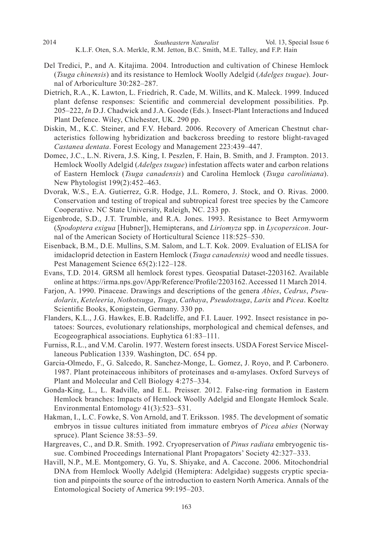- Del Tredici, P., and A. Kitajima. 2004. Introduction and cultivation of Chinese Hemlock (*Tsuga chinensis*) and its resistance to Hemlock Woolly Adelgid (*Adelges tsugae*). Journal of Arboriculture 30:282–287.
- Dietrich, R.A., K. Lawton, L. Friedrich, R. Cade, M. Willits, and K. Maleck. 1999. Induced plant defense responses: Scientific and commercial development possibilities. Pp. 205–222, *In* D.J. Chadwick and J.A. Goode (Eds.). Insect-Plant Interactions and Induced Plant Defence. Wiley, Chichester, UK. 290 pp.
- Diskin, M., K.C. Steiner, and F.V. Hebard. 2006. Recovery of American Chestnut characteristics following hybridization and backcross breeding to restore blight-ravaged *Castanea dentata*. Forest Ecology and Management 223:439–447.
- Domec, J.C., L.N. Rivera, J.S. King, I. Peszlen, F. Hain, B. Smith, and J. Frampton. 2013. Hemlock Woolly Adelgid (*Adelges tsugae*) infestation affects water and carbon relations of Eastern Hemlock (*Tsuga canadensis*) and Carolina Hemlock (*Tsuga caroliniana*). New Phytologist 199(2):452–463.
- Dvorak, W.S., E.A. Gutierrez, G.R. Hodge, J.L. Romero, J. Stock, and O. Rivas. 2000. Conservation and testing of tropical and subtropical forest tree species by the Camcore Cooperative. NC State University, Raleigh, NC. 233 pp.
- Eigenbrode, S.D., J.T. Trumble, and R.A. Jones. 1993. Resistance to Beet Armyworm (*Spodoptera exigua* [Hubner]), Hemipterans, and *Liriomyza* spp. in *Lycopersicon*. Journal of the American Society of Horticultural Science 118:525–530.
- Eisenback, B.M., D.E. Mullins, S.M. Salom, and L.T. Kok. 2009. Evaluation of ELISA for imidacloprid detection in Eastern Hemlock (*Tsuga canadensis)* wood and needle tissues. Pest Management Science 65(2):122–128.
- Evans, T.D. 2014. GRSM all hemlock forest types. Geospatial Dataset-2203162. Available online at https://irma.nps.gov/App/Reference/Profile/2203162. Accessed 11 March 2014.
- Farjon, A. 1990. Pinaceae. Drawings and descriptions of the genera *Abies*, *Cedrus*, *Pseudolarix*, *Keteleeria*, *Nothotsuga*, *Tsuga*, *Cathaya*, *Pseudotsuga*, *Larix* and *Picea*. Koeltz Scientific Books, Konigstein, Germany. 330 pp.
- Flanders, K.L., J.G. Hawkes, E.B. Radcliffe, and F.I. Lauer. 1992. Insect resistance in potatoes: Sources, evolutionary relationships, morphological and chemical defenses, and Ecogeographical associations. Euphytica 61:83–111.
- Furniss, R.L., and V.M. Carolin. 1977. Western forest insects. USDA Forest Service Miscellaneous Publication 1339. Washington, DC. 654 pp.
- Garcia-Olmedo, F., G. Salcedo, R. Sanchez-Monge, L. Gomez, J. Royo, and P. Carbonero. 1987. Plant proteinaceous inhibitors of proteinases and  $\alpha$ -amylases. Oxford Surveys of Plant and Molecular and Cell Biology 4:275–334.
- Gonda-King, L., L. Radville, and E.L. Preisser. 2012. False-ring formation in Eastern Hemlock branches: Impacts of Hemlock Woolly Adelgid and Elongate Hemlock Scale. Environmental Entomolog*y* 41(3):523–531.
- Hakman, I., L.C. Fowke, S. Von Arnold, and T. Eriksson. 1985. The development of somatic embryos in tissue cultures initiated from immature embryos of *Picea abies* (Norway spruce). Plant Science 38:53–59.
- Hargreaves, C., and D.R. Smith. 1992. Cryopreservation of *Pinus radiata* embryogenic tissue. Combined Proceedings International Plant Propagators' Society 42:327–333.
- Havill, N.P., M.E. Montgomery, G. Yu, S. Shiyake, and A. Caccone. 2006. Mitochondrial DNA from Hemlock Woolly Adelgid (Hemiptera: Adelgidae) suggests cryptic speciation and pinpoints the source of the introduction to eastern North America. Annals of the Entomological Society of America 99:195–203.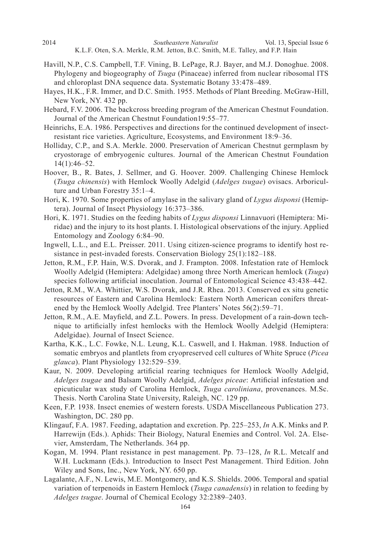- Havill, N.P., C.S. Campbell, T.F. Vining, B. LePage, R.J. Bayer, and M.J. Donoghue. 2008. Phylogeny and biogeography of *Tsuga* (Pinaceae) inferred from nuclear ribosomal ITS and chloroplast DNA sequence data. Systematic Botany 33:478–489.
- Hayes, H.K., F.R. Immer, and D.C. Smith. 1955. Methods of Plant Breeding. McGraw-Hill, New York, NY. 432 pp.
- Hebard, F.V. 2006. The backcross breeding program of the American Chestnut Foundation. Journal of the American Chestnut Foundation19:55–77.
- Heinrichs, E.A. 1986. Perspectives and directions for the continued development of insectresistant rice varieties. Agriculture, Ecosystems, and Environment 18:9–36.
- Holliday, C.P., and S.A. Merkle. 2000. Preservation of American Chestnut germplasm by cryostorage of embryogenic cultures. Journal of the American Chestnut Foundation 14(1):46–52.
- Hoover, B., R. Bates, J. Sellmer, and G. Hoover. 2009. Challenging Chinese Hemlock (*Tsuga chinensis*) with Hemlock Woolly Adelgid (*Adelges tsugae*) ovisacs. Arboriculture and Urban Forestry 35:1–4.
- Hori, K. 1970. Some properties of amylase in the salivary gland of *Lygus disponsi* (Hemiptera). Journal of Insect Physiology 16:373–386.
- Hori, K. 1971. Studies on the feeding habits of *Lygus disponsi* Linnavuori (Hemiptera: Miridae) and the injury to its host plants. I. Histological observations of the injury. Applied Entomology and Zoology 6:84–90.
- Ingwell, L.L., and E.L. Preisser. 2011. Using citizen-science programs to identify host resistance in pest-invaded forests. Conservation Biology 25(1):182–188.
- Jetton, R.M., F.P. Hain, W.S. Dvorak, and J. Frampton. 2008. Infestation rate of Hemlock Woolly Adelgid (Hemiptera: Adelgidae) among three North American hemlock (*Tsuga*) species following artificial inoculation. Journal of Entomological Science 43:438–442.
- Jetton, R.M., W.A. Whittier, W.S. Dvorak, and J.R. Rhea. 2013. Conserved ex situ genetic resources of Eastern and Carolina Hemlock: Eastern North American conifers threatened by the Hemlock Woolly Adelgid. Tree Planters' Notes 56(2):59–71.
- Jetton, R.M., A.E. Mayfield, and Z.L. Powers. In press. Development of a rain-down technique to artificially infest hemlocks with the Hemlock Woolly Adelgid (Hemiptera: Adelgidae). Journal of Insect Science.
- Kartha, K.K., L.C. Fowke, N.L. Leung, K.L. Caswell, and I. Hakman. 1988. Induction of somatic embryos and plantlets from cryopreserved cell cultures of White Spruce (*Picea glauca*). Plant Physiology 132:529–539.
- Kaur, N. 2009. Developing artificial rearing techniques for Hemlock Woolly Adelgid, *Adelges tsugae* and Balsam Woolly Adelgid, *Adelges piceae*: Artificial infestation and epicuticular wax study of Carolina Hemlock, *Tsuga caroliniana*, provenances. M.Sc. Thesis. North Carolina State University, Raleigh, NC. 129 pp.
- Keen, F.P. 1938. Insect enemies of western forests. USDA Miscellaneous Publication 273. Washington, DC. 280 pp.
- Klingauf, F.A. 1987. Feeding, adaptation and excretion. Pp. 225–253, *In* A.K. Minks and P. Harrewijn (Eds.). Aphids: Their Biology, Natural Enemies and Control. Vol. 2A. Elsevier, Amsterdam, The Netherlands. 364 pp.
- Kogan, M. 1994. Plant resistance in pest management. Pp. 73–128, *In* R.L. Metcalf and W.H. Luckmann (Eds.). Introduction to Insect Pest Management. Third Edition. John Wiley and Sons, Inc., New York, NY. 650 pp.
- Lagalante, A.F., N. Lewis, M.E. Montgomery, and K.S. Shields. 2006. Temporal and spatial variation of terpenoids in Eastern Hemlock (*Tsuga canadensis*) in relation to feeding by *Adelges tsugae*. Journal of Chemical Ecology 32:2389–2403.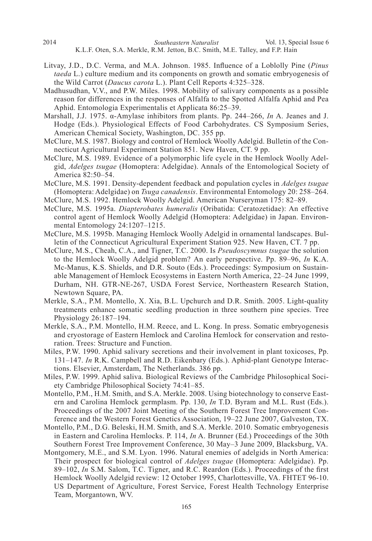- Litvay, J.D., D.C. Verma, and M.A. Johnson. 1985. Influence of a Loblolly Pine (Pinus *taeda* L.) culture medium and its components on growth and somatic embryogenesis of the Wild Carrot (*Daucus carota* L.). Plant Cell Reports 4:325–328.
- Madhusudhan, V.V., and P.W. Miles. 1998. Mobility of salivary components as a possible reason for differences in the responses of Alfalfa to the Spotted Alfalfa Aphid and Pea Aphid. Entomologia Experimentalis et Applicata 86:25–39.
- Marshall, J.J. 1975.  $\alpha$ -Amylase inhibitors from plants. Pp. 244–266, *In* A. Jeanes and J. Hodge (Eds.). Physiological Effects of Food Carbohydrates. CS Symposium Series, American Chemical Society, Washington, DC. 355 pp.
- McClure, M.S. 1987. Biology and control of Hemlock Woolly Adelgid. Bulletin of the Connecticut Agricultural Experiment Station 851. New Haven, CT. 9 pp.
- McClure, M.S. 1989. Evidence of a polymorphic life cycle in the Hemlock Woolly Adelgid, *Adelges tsugae* (Homoptera: Adelgidae). Annals of the Entomological Society of America 82:50–54.
- McClure, M.S. 1991. Density-dependent feedback and population cycles in *Adelges tsugae* (Homoptera: Adelgidae) on *Tsuga canadensis*. Environmental Entomology 20: 258–264.
- McClure, M.S. 1992. Hemlock Woolly Adelgid. American Nurseryman 175: 82–89.
- McClure, M.S. 1995a. *Diapterobates humeralis* (Oribatida: Ceratozetidae): An effective control agent of Hemlock Woolly Adelgid (Homoptera: Adelgidae) in Japan. Environmental Entomology 24:1207–1215.
- McClure, M.S. 1995b. Managing Hemlock Woolly Adelgid in ornamental landscapes. Bulletin of the Connecticut Agricultural Experiment Station 925. New Haven, CT. 7 pp.
- McClure, M.S., Cheah, C.A., and Tigner, T.C. 2000. Is *Pseudoscymnus tsugae* the solution to the Hemlock Woolly Adelgid problem? An early perspective. Pp. 89–96, *In* K.A. Mc-Manus, K.S. Shields, and D.R. Souto (Eds.). Proceedings: Symposium on Sustainable Management of Hemlock Ecosystems in Eastern North America, 22–24 June 1999, Durham, NH. GTR-NE-267, USDA Forest Service, Northeastern Research Station, Newtown Square, PA.
- Merkle, S.A., P.M. Montello, X. Xia, B.L. Upchurch and D.R. Smith. 2005. Light-quality treatments enhance somatic seedling production in three southern pine species. Tree Physiology 26:187–194.
- Merkle, S.A., P.M. Montello, H.M. Reece, and L. Kong. In press. Somatic embryogenesis and cryostorage of Eastern Hemlock and Carolina Hemlock for conservation and restoration. Trees: Structure and Function.
- Miles, P.W. 1990. Aphid salivary secretions and their involvement in plant toxicoses, Pp. 131–147. *In* R.K. Campbell and R.D. Eikenbary (Eds.). Aphid-plant Genotype Interactions. Elsevier, Amsterdam, The Netherlands. 386 pp.
- Miles, P.W. 1999. Aphid saliva. Biological Reviews of the Cambridge Philosophical Society Cambridge Philosophical Society 74:41–85.
- Montello, P.M., H.M. Smith, and S.A. Merkle. 2008. Using biotechnology to conserve Eastern and Carolina Hemlock germplasm. Pp. 130, *In* T.D. Byram and M.L. Rust (Eds.). Proceedings of the 2007 Joint Meeting of the Southern Forest Tree Improvement Conference and the Western Forest Genetics Association, 19–22 June 2007, Galveston, TX.
- Montello, P.M., D.G. Beleski, H.M. Smith, and S.A. Merkle. 2010. Somatic embryogenesis in Eastern and Carolina Hemlocks. P. 114, *In* A. Brunner (Ed.) Proceedings of the 30th Southern Forest Tree Improvement Conference, 30 May–3 June 2009, Blacksburg, VA.
- Montgomery, M.E., and S.M. Lyon. 1996. Natural enemies of adelgids in North America: Their prospect for biological control of *Adelges tsugae* (Homoptera: Adelgidae). Pp. 89–102, *In* S.M. Salom, T.C. Tigner, and R.C. Reardon (Eds.). Proceedings of the first Hemlock Woolly Adelgid review: 12 October 1995, Charlottesville, VA. FHTET 96-10. US Department of Agriculture, Forest Service, Forest Health Technology Enterprise Team, Morgantown, WV.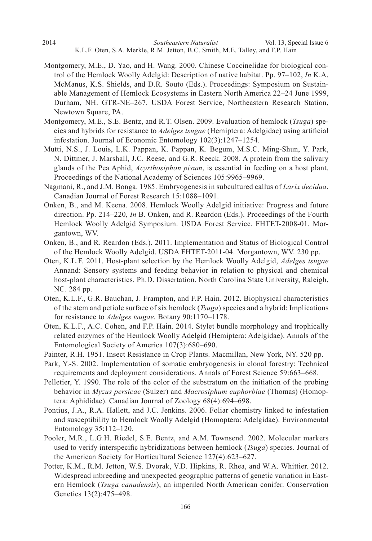- Montgomery, M.E., D. Yao, and H. Wang. 2000. Chinese Coccinelidae for biological control of the Hemlock Woolly Adelgid: Description of native habitat. Pp. 97–102, *In* K.A. McManus, K.S. Shields, and D.R. Souto (Eds.). Proceedings: Symposium on Sustainable Management of Hemlock Ecosystems in Eastern North America 22–24 June 1999, Durham, NH. GTR-NE–267. USDA Forest Service, Northeastern Research Station, Newtown Square, PA.
- Montgomery, M.E., S.E. Bentz, and R.T. Olsen. 2009. Evaluation of hemlock (*Tsuga*) species and hybrids for resistance to *Adelges tsugae* (Hemiptera: Adelgidae) using artificial infestation. Journal of Economic Entomology 102(3):1247–1254.
- Mutti, N.S., J. Louis, L.K. Pappan, K. Pappan, K. Begum, M.S.C. Ming-Shun, Y. Park, N. Dittmer, J. Marshall, J.C. Reese, and G.R. Reeck. 2008. A protein from the salivary glands of the Pea Aphid, *Acyrthosiphon pisum*, is essential in feeding on a host plant. Proceedings of the National Academy of Sciences 105:9965–9969.
- Nagmani, R., and J.M. Bonga. 1985. Embryogenesis in subcultured callus of *Larix decidua*. Canadian Journal of Forest Research 15:1088–1091.
- Onken, B., and M. Keena. 2008. Hemlock Woolly Adelgid initiative: Progress and future direction. Pp. 214–220, *In* B. Onken, and R. Reardon (Eds.). Proceedings of the Fourth Hemlock Woolly Adelgid Symposium. USDA Forest Service. FHTET-2008-01. Morgantown, WV.
- Onken, B., and R. Reardon (Eds.). 2011. Implementation and Status of Biological Control of the Hemlock Woolly Adelgid. USDA FHTET-2011-04. Morgantown, WV. 230 pp.
- Oten, K.L.F. 2011. Host-plant selection by the Hemlock Woolly Adelgid, *Adelges tsugae*  Annand: Sensory systems and feeding behavior in relation to physical and chemical host-plant characteristics. Ph.D. Dissertation. North Carolina State University, Raleigh, NC. 284 pp.
- Oten, K.L.F., G.R. Bauchan, J. Frampton, and F.P. Hain. 2012. Biophysical characteristics of the stem and petiole surface of six hemlock (*Tsuga*) species and a hybrid: Implications for resistance to *Adelges tsugae.* Botany 90:1170–1178.
- Oten, K.L.F., A.C. Cohen, and F.P. Hain. 2014. Stylet bundle morphology and trophically related enzymes of the Hemlock Woolly Adelgid (Hemiptera: Adelgidae). Annals of the Entomological Society of America 107(3):680–690.
- Painter, R.H. 1951. Insect Resistance in Crop Plants. Macmillan, New York, NY. 520 pp.
- Park, Y.-S. 2002. Implementation of somatic embryogenesis in clonal forestry: Technical requirements and deployment considerations. Annals of Forest Science 59:663–668.
- Pelletier, Y. 1990. The role of the color of the substratum on the initiation of the probing behavior in *Myzus persicae* (Sulzer) and *Macrosiphum euphorbiae* (Thomas) (Homoptera: Aphididae). Canadian Journal of Zoology 68(4):694–698.
- Pontius, J.A., R.A. Hallett, and J.C. Jenkins. 2006. Foliar chemistry linked to infestation and susceptibility to Hemlock Woolly Adelgid (Homoptera: Adelgidae). Environmental Entomology 35:112–120.
- Pooler, M.R., L.G.H. Riedel, S.E. Bentz, and A.M. Townsend. 2002. Molecular markers used to verify interspecific hybridizations between hemlock (*Tsuga*) species. Journal of the American Society for Horticultural Science 127(4):623–627.
- Potter, K.M., R.M. Jetton, W.S. Dvorak, V.D. Hipkins, R. Rhea, and W.A. Whittier. 2012. Widespread inbreeding and unexpected geographic patterns of genetic variation in Eastern Hemlock (*Tsuga canadensis*), an imperiled North American conifer. Conservation Genetics 13(2):475–498.